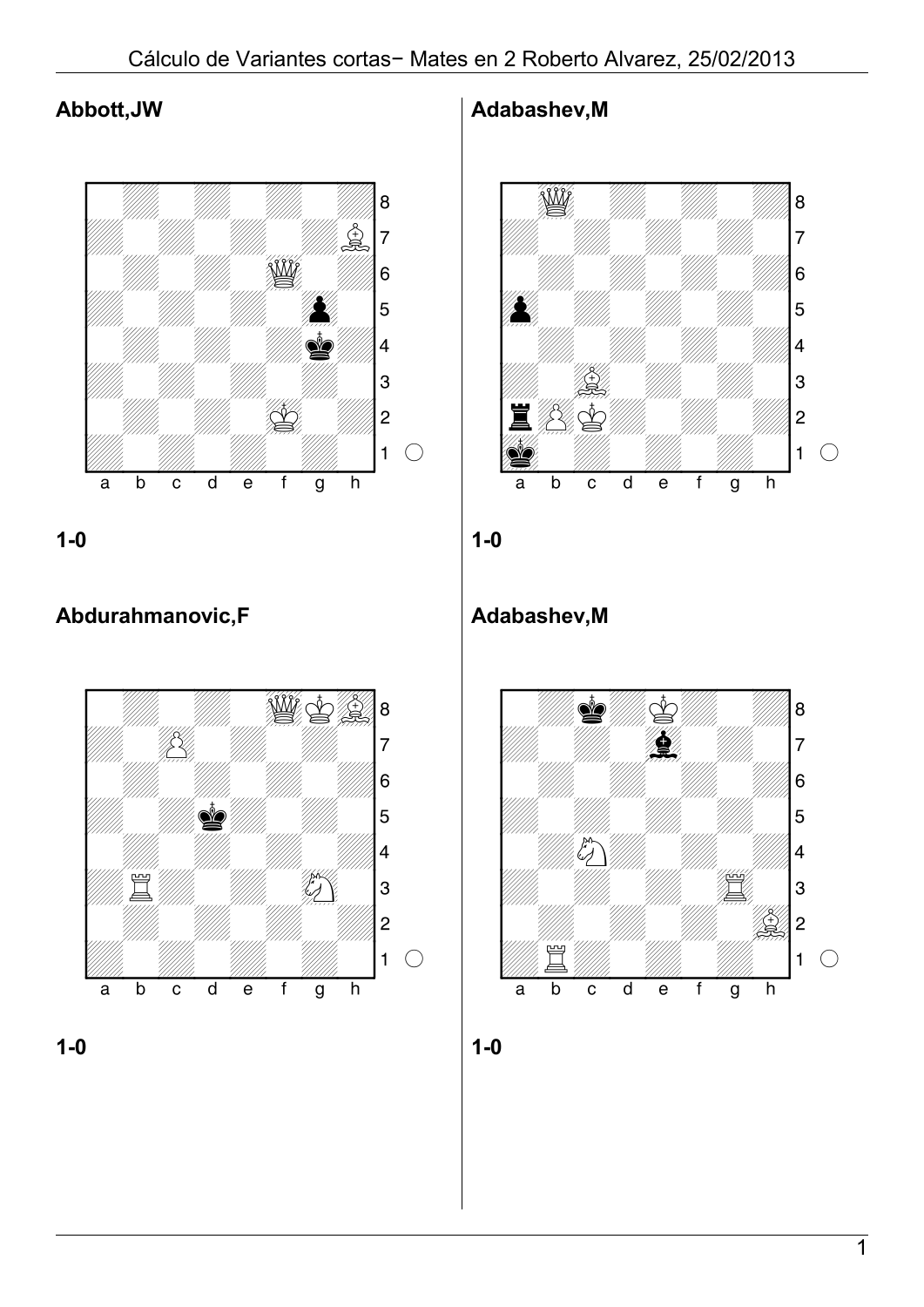### **Abbott,JW**



**1-0**

# **Abdurahmanovic,F**





#### **Adabashev,M**



**1-0**

### **Adabashev,M**

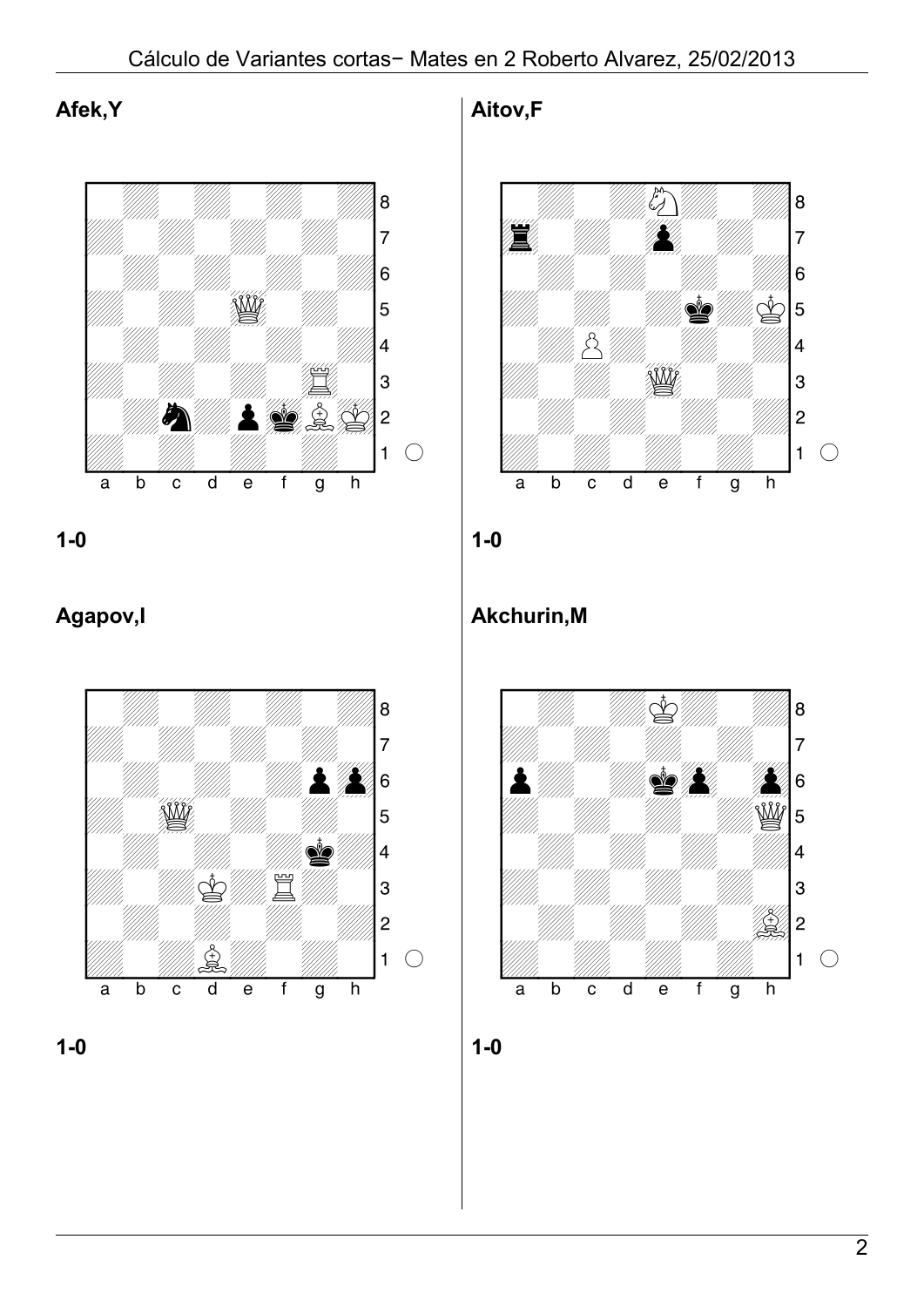**Afek,Y**



**1-0**

# **Agapov,I**





**Aitov,F**



**1-0**

# **Akchurin,M**

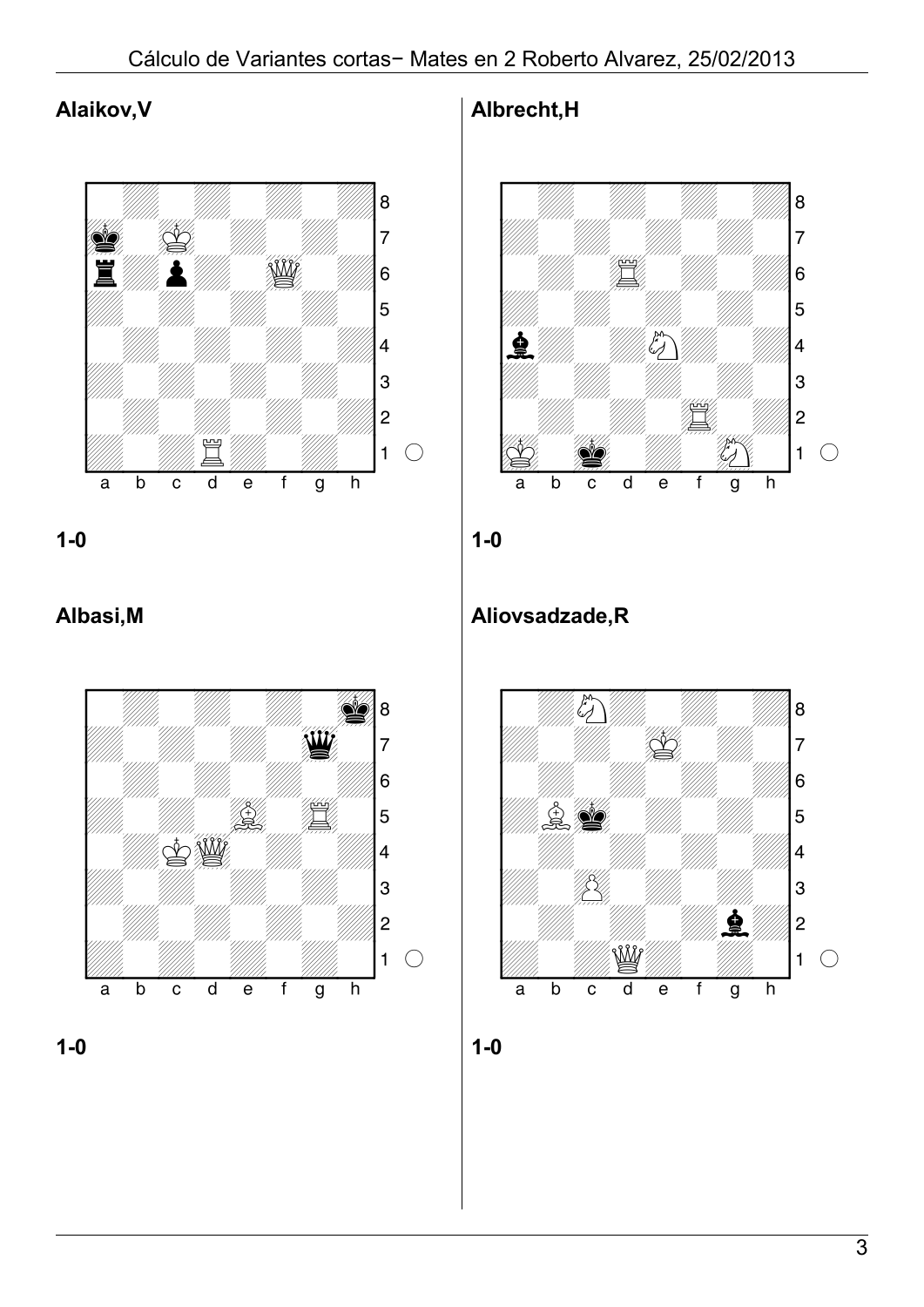### **Alaikov,V**



**1-0**

### **Albasi,M**





### **Albrecht,H**



**1-0**

## **Aliovsadzade,R**

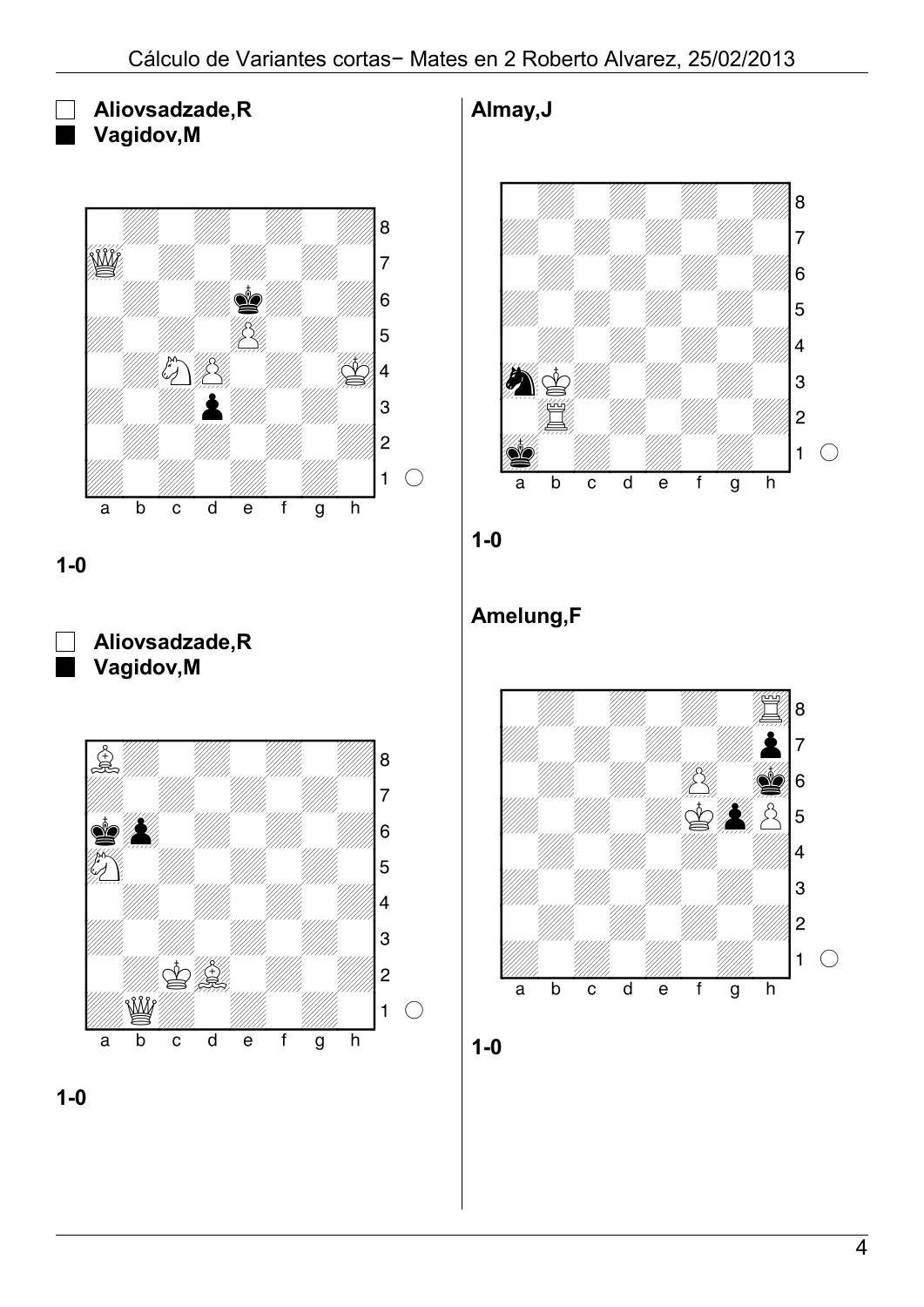**Aliovsadzade,R Vagidov,M**



**1-0**







**Almay,J**





# **Amelung,F**